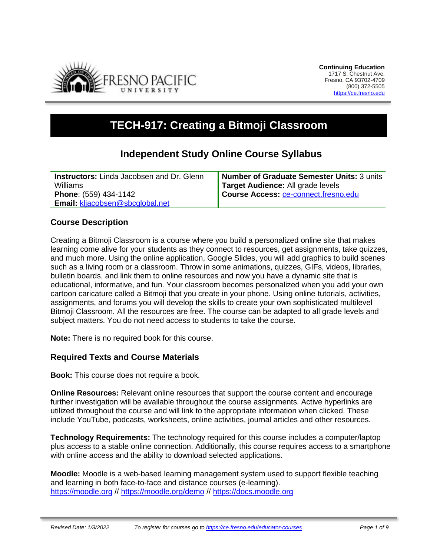

# **TECH-917: Creating a Bitmoji Classroom**

## **Independent Study Online Course Syllabus**

| <b>Instructors:</b> Linda Jacobsen and Dr. Glenn | Number of Graduate Semester Units: 3 units |
|--------------------------------------------------|--------------------------------------------|
| Williams                                         | Target Audience: All grade levels          |
| <b>Phone: (559) 434-1142</b>                     | Course Access: ce-connect.fresno.edu       |
| <b>Email: kljacobsen@sbcglobal.net</b>           |                                            |

### **Course Description**

Creating a Bitmoji Classroom is a course where you build a personalized online site that makes learning come alive for your students as they connect to resources, get assignments, take quizzes, and much more. Using the online application, Google Slides, you will add graphics to build scenes such as a living room or a classroom. Throw in some animations, quizzes, GIFs, videos, libraries, bulletin boards, and link them to online resources and now you have a dynamic site that is educational, informative, and fun. Your classroom becomes personalized when you add your own cartoon caricature called a Bitmoji that you create in your phone. Using online tutorials, activities, assignments, and forums you will develop the skills to create your own sophisticated multilevel Bitmoji Classroom. All the resources are free. The course can be adapted to all grade levels and subject matters. You do not need access to students to take the course.

**Note:** There is no required book for this course.

### **Required Texts and Course Materials**

**Book:** This course does not require a book.

**Online Resources:** Relevant online resources that support the course content and encourage further investigation will be available throughout the course assignments. Active hyperlinks are utilized throughout the course and will link to the appropriate information when clicked. These include YouTube, podcasts, worksheets, online activities, journal articles and other resources.

**Technology Requirements:** The technology required for this course includes a computer/laptop plus access to a stable online connection. Additionally, this course requires access to a smartphone with online access and the ability to download selected applications.

**Moodle:** Moodle is a web-based learning management system used to support flexible teaching and learning in both face-to-face and distance courses (e-learning). [https://moodle.org](https://moodle.org/) //<https://moodle.org/demo> // [https://docs.moodle.org](https://docs.moodle.org/)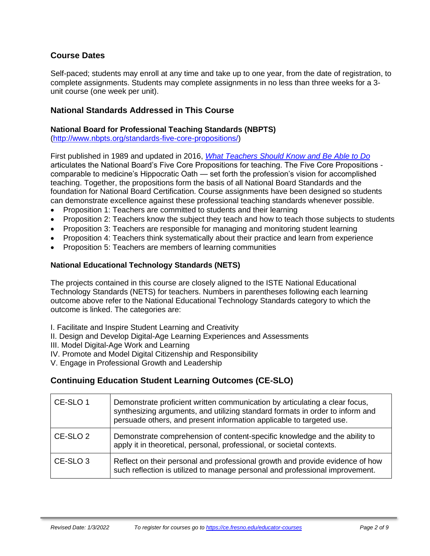### **Course Dates**

Self-paced; students may enroll at any time and take up to one year, from the date of registration, to complete assignments. Students may complete assignments in no less than three weeks for a 3 unit course (one week per unit).

#### **National Standards Addressed in This Course**

#### **National Board for Professional Teaching Standards (NBPTS)**

[\(http://www.nbpts.org/standards-five-core-propositions/\)](http://www.nbpts.org/standards-five-core-propositions/)

First published in 1989 and updated in 2016, *[What Teachers Should Know and Be Able to Do](http://www.accomplishedteacher.org/)* articulates the National Board's Five Core Propositions for teaching. The Five Core Propositions comparable to medicine's Hippocratic Oath — set forth the profession's vision for accomplished teaching. Together, the propositions form the basis of all National Board Standards and the foundation for National Board Certification. Course assignments have been designed so students can demonstrate excellence against these professional teaching standards whenever possible.

- Proposition 1: Teachers are committed to students and their learning
- Proposition 2: Teachers know the subject they teach and how to teach those subjects to students
- Proposition 3: Teachers are responsible for managing and monitoring student learning
- Proposition 4: Teachers think systematically about their practice and learn from experience
- Proposition 5: Teachers are members of learning communities

#### **National Educational Technology Standards (NETS)**

The projects contained in this course are closely aligned to the ISTE National Educational Technology Standards (NETS) for teachers. Numbers in parentheses following each learning outcome above refer to the National Educational Technology Standards category to which the outcome is linked. The categories are:

I. Facilitate and Inspire Student Learning and Creativity

II. Design and Develop Digital-Age Learning Experiences and Assessments

III. Model Digital-Age Work and Learning

IV. Promote and Model Digital Citizenship and Responsibility

V. Engage in Professional Growth and Leadership

### **Continuing Education Student Learning Outcomes (CE-SLO)**

| CE-SLO 1            | Demonstrate proficient written communication by articulating a clear focus,<br>synthesizing arguments, and utilizing standard formats in order to inform and<br>persuade others, and present information applicable to targeted use. |
|---------------------|--------------------------------------------------------------------------------------------------------------------------------------------------------------------------------------------------------------------------------------|
| CE-SLO 2            | Demonstrate comprehension of content-specific knowledge and the ability to<br>apply it in theoretical, personal, professional, or societal contexts.                                                                                 |
| CE-SLO <sub>3</sub> | Reflect on their personal and professional growth and provide evidence of how<br>such reflection is utilized to manage personal and professional improvement.                                                                        |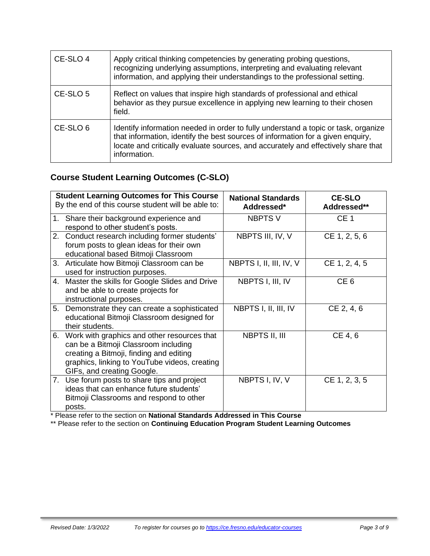| CE-SLO 4            | Apply critical thinking competencies by generating probing questions,<br>recognizing underlying assumptions, interpreting and evaluating relevant<br>information, and applying their understandings to the professional setting.                                           |
|---------------------|----------------------------------------------------------------------------------------------------------------------------------------------------------------------------------------------------------------------------------------------------------------------------|
| CE-SLO 5            | Reflect on values that inspire high standards of professional and ethical<br>behavior as they pursue excellence in applying new learning to their chosen<br>field.                                                                                                         |
| CE-SLO <sub>6</sub> | Identify information needed in order to fully understand a topic or task, organize<br>that information, identify the best sources of information for a given enquiry,<br>locate and critically evaluate sources, and accurately and effectively share that<br>information. |

### **Course Student Learning Outcomes (C-SLO)**

| <b>Student Learning Outcomes for This Course</b><br>By the end of this course student will be able to:                                                                                                              | <b>National Standards</b><br>Addressed* | <b>CE-SLO</b><br>Addressed** |
|---------------------------------------------------------------------------------------------------------------------------------------------------------------------------------------------------------------------|-----------------------------------------|------------------------------|
| Share their background experience and<br>1.<br>respond to other student's posts.                                                                                                                                    | <b>NBPTS V</b>                          | CE <sub>1</sub>              |
| 2. Conduct research including former students'<br>forum posts to glean ideas for their own<br>educational based Bitmoji Classroom                                                                                   | NBPTS III, IV, V                        | CE 1, 2, 5, 6                |
| 3. Articulate how Bitmoji Classroom can be<br>used for instruction purposes.                                                                                                                                        | NBPTS I, II, III, IV, V                 | CE 1, 2, 4, 5                |
| 4.<br>Master the skills for Google Slides and Drive<br>and be able to create projects for<br>instructional purposes.                                                                                                | NBPTS I, III, IV                        | CE <sub>6</sub>              |
| 5.<br>Demonstrate they can create a sophisticated<br>educational Bitmoji Classroom designed for<br>their students.                                                                                                  | NBPTS I, II, III, IV                    | CE 2, 4, 6                   |
| 6.<br>Work with graphics and other resources that<br>can be a Bitmoji Classroom including<br>creating a Bitmoji, finding and editing<br>graphics, linking to YouTube videos, creating<br>GIFs, and creating Google. | NBPTS II, III                           | CE 4, 6                      |
| 7. Use forum posts to share tips and project<br>ideas that can enhance future students'<br>Bitmoji Classrooms and respond to other<br>posts.                                                                        | NBPTS I, IV, V                          | CE 1, 2, 3, 5                |

\* Please refer to the section on **National Standards Addressed in This Course**

\*\* Please refer to the section on **Continuing Education Program Student Learning Outcomes**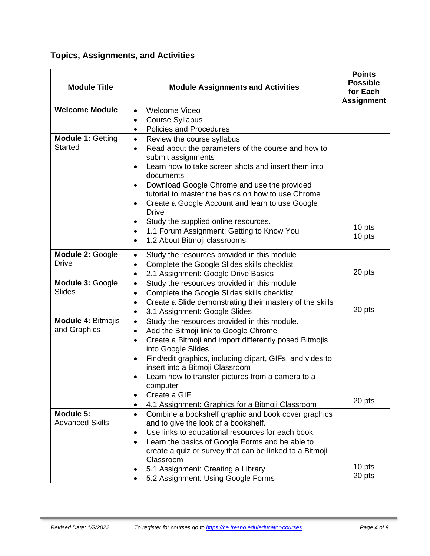**Topics, Assignments, and Activities**

| <b>Module Title</b>                        | <b>Module Assignments and Activities</b>                                                                                                                                                                                                                                                                                                                                                                                                                                                         | <b>Points</b><br><b>Possible</b><br>for Each<br><b>Assignment</b> |
|--------------------------------------------|--------------------------------------------------------------------------------------------------------------------------------------------------------------------------------------------------------------------------------------------------------------------------------------------------------------------------------------------------------------------------------------------------------------------------------------------------------------------------------------------------|-------------------------------------------------------------------|
| <b>Welcome Module</b>                      | <b>Welcome Video</b><br>$\bullet$                                                                                                                                                                                                                                                                                                                                                                                                                                                                |                                                                   |
|                                            | <b>Course Syllabus</b><br>$\bullet$                                                                                                                                                                                                                                                                                                                                                                                                                                                              |                                                                   |
|                                            | Policies and Procedures<br>$\bullet$                                                                                                                                                                                                                                                                                                                                                                                                                                                             |                                                                   |
| <b>Module 1: Getting</b><br><b>Started</b> | Review the course syllabus<br>$\bullet$<br>Read about the parameters of the course and how to<br>$\bullet$<br>submit assignments<br>Learn how to take screen shots and insert them into<br>$\bullet$<br>documents<br>Download Google Chrome and use the provided<br>tutorial to master the basics on how to use Chrome<br>Create a Google Account and learn to use Google<br>$\bullet$<br><b>Drive</b><br>Study the supplied online resources.<br>1.1 Forum Assignment: Getting to Know You<br>٠ | 10 pts<br>10 pts                                                  |
|                                            | 1.2 About Bitmoji classrooms<br>$\bullet$                                                                                                                                                                                                                                                                                                                                                                                                                                                        |                                                                   |
| Module 2: Google<br><b>Drive</b>           | Study the resources provided in this module<br>$\bullet$<br>Complete the Google Slides skills checklist<br>$\bullet$<br>2.1 Assignment: Google Drive Basics<br>$\bullet$                                                                                                                                                                                                                                                                                                                         | 20 pts                                                            |
| Module 3: Google<br><b>Slides</b>          | Study the resources provided in this module<br>$\bullet$<br>Complete the Google Slides skills checklist<br>$\bullet$<br>Create a Slide demonstrating their mastery of the skills<br>$\bullet$<br>3.1 Assignment: Google Slides<br>٠                                                                                                                                                                                                                                                              | 20 pts                                                            |
| <b>Module 4: Bitmojis</b><br>and Graphics  | Study the resources provided in this module.<br>$\bullet$<br>Add the Bitmoji link to Google Chrome<br>$\bullet$<br>Create a Bitmoji and import differently posed Bitmojis<br>$\bullet$<br>into Google Slides<br>Find/edit graphics, including clipart, GIFs, and vides to<br>$\bullet$<br>insert into a Bitmoji Classroom<br>Learn how to transfer pictures from a camera to a<br>computer<br>Create a GIF<br>٠<br>4.1 Assignment: Graphics for a Bitmoji Classroom                              | 20 pts                                                            |
| Module 5:<br><b>Advanced Skills</b>        | Combine a bookshelf graphic and book cover graphics<br>$\bullet$<br>and to give the look of a bookshelf.<br>Use links to educational resources for each book.<br>$\bullet$<br>Learn the basics of Google Forms and be able to<br>$\bullet$<br>create a quiz or survey that can be linked to a Bitmoji<br>Classroom                                                                                                                                                                               |                                                                   |
|                                            | 5.1 Assignment: Creating a Library<br>5.2 Assignment: Using Google Forms                                                                                                                                                                                                                                                                                                                                                                                                                         | 10 pts<br>20 pts                                                  |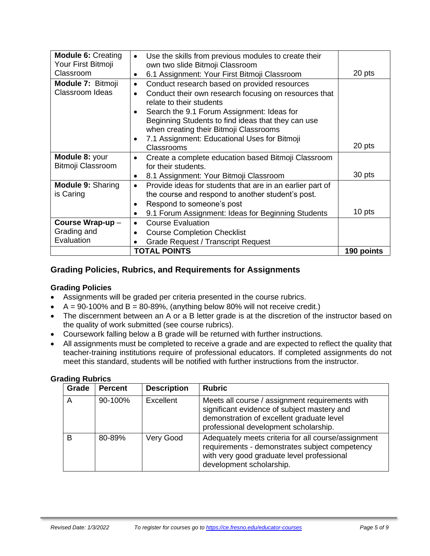| <b>Module 6: Creating</b> | Use the skills from previous modules to create their<br>$\bullet$      |            |
|---------------------------|------------------------------------------------------------------------|------------|
| Your First Bitmoji        | own two slide Bitmoji Classroom                                        |            |
| Classroom                 | 6.1 Assignment: Your First Bitmoji Classroom<br>$\bullet$              | 20 pts     |
| Module 7: Bitmoji         | Conduct research based on provided resources<br>$\bullet$              |            |
| Classroom Ideas           | Conduct their own research focusing on resources that<br>$\bullet$     |            |
|                           | relate to their students                                               |            |
|                           | Search the 9.1 Forum Assignment: Ideas for                             |            |
|                           | Beginning Students to find ideas that they can use                     |            |
|                           | when creating their Bitmoji Classrooms                                 |            |
|                           | 7.1 Assignment: Educational Uses for Bitmoji<br>$\bullet$              |            |
|                           | Classrooms                                                             | 20 pts     |
| Module 8: your            | Create a complete education based Bitmoji Classroom<br>$\bullet$       |            |
| Bitmoji Classroom         | for their students.                                                    |            |
|                           | 8.1 Assignment: Your Bitmoji Classroom<br>$\bullet$                    | 30 pts     |
| <b>Module 9: Sharing</b>  | Provide ideas for students that are in an earlier part of<br>$\bullet$ |            |
| is Caring                 | the course and respond to another student's post.                      |            |
|                           | Respond to someone's post                                              |            |
|                           | 9.1 Forum Assignment: Ideas for Beginning Students<br>$\bullet$        | 10 pts     |
| Course Wrap-up-           | <b>Course Evaluation</b><br>$\bullet$                                  |            |
| Grading and               | <b>Course Completion Checklist</b><br>$\bullet$                        |            |
| Evaluation                | <b>Grade Request / Transcript Request</b>                              |            |
|                           | <b>TOTAL POINTS</b>                                                    | 190 points |

### **Grading Policies, Rubrics, and Requirements for Assignments**

#### **Grading Policies**

- Assignments will be graded per criteria presented in the course rubrics.
- $A = 90-100\%$  and  $B = 80-89\%$ , (anything below 80% will not receive credit.)
- The discernment between an A or a B letter grade is at the discretion of the instructor based on the quality of work submitted (see course rubrics).
- Coursework falling below a B grade will be returned with further instructions.
- All assignments must be completed to receive a grade and are expected to reflect the quality that teacher-training institutions require of professional educators. If completed assignments do not meet this standard, students will be notified with further instructions from the instructor.

| Grade | <b>Percent</b> | <b>Description</b> | <b>Rubric</b>                                                                                                                                                                        |
|-------|----------------|--------------------|--------------------------------------------------------------------------------------------------------------------------------------------------------------------------------------|
| Α     | 90-100%        | Excellent          | Meets all course / assignment requirements with<br>significant evidence of subject mastery and<br>demonstration of excellent graduate level<br>professional development scholarship. |
| В     | 80-89%         | Very Good          | Adequately meets criteria for all course/assignment<br>requirements - demonstrates subject competency<br>with very good graduate level professional<br>development scholarship.      |

#### **Grading Rubrics**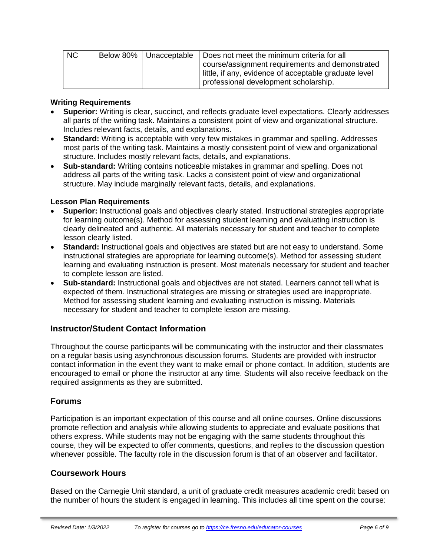| NC |  | Below 80%   Unacceptable   Does not meet the minimum criteria for all |
|----|--|-----------------------------------------------------------------------|
|    |  | course/assignment requirements and demonstrated                       |
|    |  | little, if any, evidence of acceptable graduate level                 |
|    |  | professional development scholarship.                                 |

#### **Writing Requirements**

- **Superior:** Writing is clear, succinct, and reflects graduate level expectations. Clearly addresses all parts of the writing task. Maintains a consistent point of view and organizational structure. Includes relevant facts, details, and explanations.
- **Standard:** Writing is acceptable with very few mistakes in grammar and spelling. Addresses most parts of the writing task. Maintains a mostly consistent point of view and organizational structure. Includes mostly relevant facts, details, and explanations.
- **Sub-standard:** Writing contains noticeable mistakes in grammar and spelling. Does not address all parts of the writing task. Lacks a consistent point of view and organizational structure. May include marginally relevant facts, details, and explanations.

#### **Lesson Plan Requirements**

- **Superior:** Instructional goals and objectives clearly stated. Instructional strategies appropriate for learning outcome(s). Method for assessing student learning and evaluating instruction is clearly delineated and authentic. All materials necessary for student and teacher to complete lesson clearly listed.
- **Standard:** Instructional goals and objectives are stated but are not easy to understand. Some instructional strategies are appropriate for learning outcome(s). Method for assessing student learning and evaluating instruction is present. Most materials necessary for student and teacher to complete lesson are listed.
- **Sub-standard:** Instructional goals and objectives are not stated. Learners cannot tell what is expected of them. Instructional strategies are missing or strategies used are inappropriate. Method for assessing student learning and evaluating instruction is missing. Materials necessary for student and teacher to complete lesson are missing.

#### **Instructor/Student Contact Information**

Throughout the course participants will be communicating with the instructor and their classmates on a regular basis using asynchronous discussion forums. Students are provided with instructor contact information in the event they want to make email or phone contact. In addition, students are encouraged to email or phone the instructor at any time. Students will also receive feedback on the required assignments as they are submitted.

#### **Forums**

Participation is an important expectation of this course and all online courses. Online discussions promote reflection and analysis while allowing students to appreciate and evaluate positions that others express. While students may not be engaging with the same students throughout this course, they will be expected to offer comments, questions, and replies to the discussion question whenever possible. The faculty role in the discussion forum is that of an observer and facilitator.

#### **Coursework Hours**

Based on the Carnegie Unit standard, a unit of graduate credit measures academic credit based on the number of hours the student is engaged in learning. This includes all time spent on the course: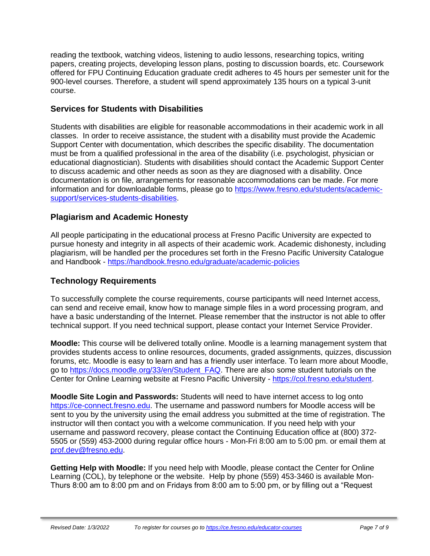reading the textbook, watching videos, listening to audio lessons, researching topics, writing papers, creating projects, developing lesson plans, posting to discussion boards, etc. Coursework offered for FPU Continuing Education graduate credit adheres to 45 hours per semester unit for the 900-level courses. Therefore, a student will spend approximately 135 hours on a typical 3-unit course.

### **Services for Students with Disabilities**

Students with disabilities are eligible for reasonable accommodations in their academic work in all classes. In order to receive assistance, the student with a disability must provide the Academic Support Center with documentation, which describes the specific disability. The documentation must be from a qualified professional in the area of the disability (i.e. psychologist, physician or educational diagnostician). Students with disabilities should contact the Academic Support Center to discuss academic and other needs as soon as they are diagnosed with a disability. Once documentation is on file, arrangements for reasonable accommodations can be made. For more information and for downloadable forms, please go to [https://www.fresno.edu/students/academic](https://www.fresno.edu/students/academic-support/services-students-disabilities)[support/services-students-disabilities.](https://www.fresno.edu/students/academic-support/services-students-disabilities)

### **Plagiarism and Academic Honesty**

All people participating in the educational process at Fresno Pacific University are expected to pursue honesty and integrity in all aspects of their academic work. Academic dishonesty, including plagiarism, will be handled per the procedures set forth in the Fresno Pacific University Catalogue and Handbook - <https://handbook.fresno.edu/graduate/academic-policies>

### **Technology Requirements**

To successfully complete the course requirements, course participants will need Internet access, can send and receive email, know how to manage simple files in a word processing program, and have a basic understanding of the Internet. Please remember that the instructor is not able to offer technical support. If you need technical support, please contact your Internet Service Provider.

**Moodle:** This course will be delivered totally online. Moodle is a learning management system that provides students access to online resources, documents, graded assignments, quizzes, discussion forums, etc. Moodle is easy to learn and has a friendly user interface. To learn more about Moodle, go to [https://docs.moodle.org/33/en/Student\\_FAQ.](https://docs.moodle.org/33/en/Student_FAQ) There are also some student tutorials on the Center for Online Learning website at Fresno Pacific University - [https://col.fresno.edu/student.](https://col.fresno.edu/student)

**Moodle Site Login and Passwords:** Students will need to have internet access to log onto [https://ce-connect.fresno.edu.](https://ce-connect.fresno.edu/) The username and password numbers for Moodle access will be sent to you by the university using the email address you submitted at the time of registration. The instructor will then contact you with a welcome communication. If you need help with your username and password recovery, please contact the Continuing Education office at (800) 372- 5505 or (559) 453-2000 during regular office hours - Mon-Fri 8:00 am to 5:00 pm. or email them at [prof.dev@fresno.edu.](mailto:prof.dev@fresno.edu)

**Getting Help with Moodle:** If you need help with Moodle, please contact the Center for Online Learning (COL), by telephone or the website. Help by phone (559) 453-3460 is available Mon-Thurs 8:00 am to 8:00 pm and on Fridays from 8:00 am to 5:00 pm, or by filling out a "Request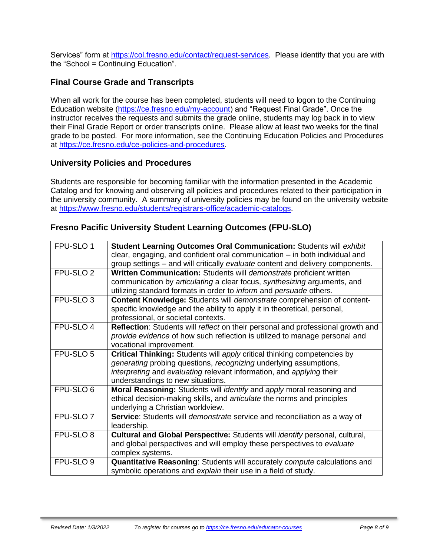Services" form at [https://col.fresno.edu/contact/request-services.](https://col.fresno.edu/contact/request-services) Please identify that you are with the "School = Continuing Education".

### **Final Course Grade and Transcripts**

When all work for the course has been completed, students will need to logon to the Continuing Education website [\(https://ce.fresno.edu/my-account\)](https://ce.fresno.edu/my-account) and "Request Final Grade". Once the instructor receives the requests and submits the grade online, students may log back in to view their Final Grade Report or order transcripts online. Please allow at least two weeks for the final grade to be posted. For more information, see the Continuing Education Policies and Procedures at [https://ce.fresno.edu/ce-policies-and-procedures.](https://ce.fresno.edu/ce-policies-and-procedures)

#### **University Policies and Procedures**

Students are responsible for becoming familiar with the information presented in the Academic Catalog and for knowing and observing all policies and procedures related to their participation in the university community. A summary of university policies may be found on the university website at [https://www.fresno.edu/students/registrars-office/academic-catalogs.](https://www.fresno.edu/students/registrars-office/academic-catalogs)

### **Fresno Pacific University Student Learning Outcomes (FPU-SLO)**

| FPU-SLO 1            | Student Learning Outcomes Oral Communication: Students will exhibit<br>clear, engaging, and confident oral communication – in both individual and |
|----------------------|---------------------------------------------------------------------------------------------------------------------------------------------------|
|                      | group settings - and will critically evaluate content and delivery components.                                                                    |
| FPU-SLO <sub>2</sub> | Written Communication: Students will demonstrate proficient written                                                                               |
|                      | communication by articulating a clear focus, synthesizing arguments, and                                                                          |
|                      | utilizing standard formats in order to inform and persuade others.                                                                                |
| FPU-SLO <sub>3</sub> | <b>Content Knowledge: Students will demonstrate comprehension of content-</b>                                                                     |
|                      | specific knowledge and the ability to apply it in theoretical, personal,                                                                          |
|                      | professional, or societal contexts.                                                                                                               |
| FPU-SLO 4            | Reflection: Students will reflect on their personal and professional growth and                                                                   |
|                      | provide evidence of how such reflection is utilized to manage personal and                                                                        |
|                      | vocational improvement.                                                                                                                           |
| FPU-SLO 5            | Critical Thinking: Students will apply critical thinking competencies by                                                                          |
|                      | generating probing questions, recognizing underlying assumptions,                                                                                 |
|                      | interpreting and evaluating relevant information, and applying their                                                                              |
|                      | understandings to new situations.                                                                                                                 |
| FPU-SLO 6            | Moral Reasoning: Students will <i>identify</i> and apply moral reasoning and                                                                      |
|                      | ethical decision-making skills, and articulate the norms and principles                                                                           |
|                      | underlying a Christian worldview.                                                                                                                 |
| FPU-SLO <sub>7</sub> | Service: Students will <i>demonstrate</i> service and reconciliation as a way of                                                                  |
|                      | leadership.                                                                                                                                       |
| FPU-SLO 8            | Cultural and Global Perspective: Students will identify personal, cultural,                                                                       |
|                      | and global perspectives and will employ these perspectives to evaluate                                                                            |
|                      | complex systems.                                                                                                                                  |
| FPU-SLO <sub>9</sub> | <b>Quantitative Reasoning: Students will accurately compute calculations and</b>                                                                  |
|                      | symbolic operations and explain their use in a field of study.                                                                                    |